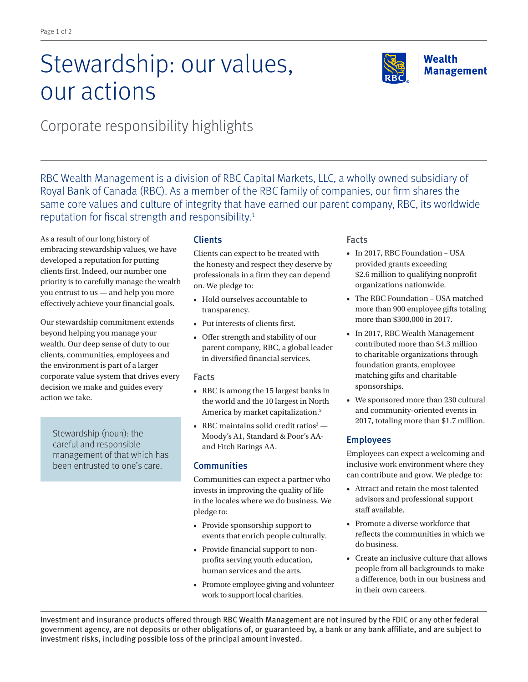# Stewardship: our values, our actions



Corporate responsibility highlights

RBC Wealth Management is a division of RBC Capital Markets, LLC, a wholly owned subsidiary of Royal Bank of Canada (RBC). As a member of the RBC family of companies, our firm shares the same core values and culture of integrity that have earned our parent company, RBC, its worldwide reputation for fiscal strength and responsibility.<sup>1</sup>

As a result of our long history of embracing stewardship values, we have developed a reputation for putting clients first. Indeed, our number one priority is to carefully manage the wealth you entrust to us — and help you more effectively achieve your financial goals.

Our stewardship commitment extends beyond helping you manage your wealth. Our deep sense of duty to our clients, communities, employees and the environment is part of a larger corporate value system that drives every decision we make and guides every action we take.

Stewardship (noun): the careful and responsible management of that which has been entrusted to one's care.

# Clients

Clients can expect to be treated with the honesty and respect they deserve by professionals in a firm they can depend on. We pledge to:

- Hold ourselves accountable to transparency.
- Put interests of clients first.
- Offer strength and stability of our parent company, RBC, a global leader in diversified financial services.

## Facts

- RBC is among the 15 largest banks in the world and the 10 largest in North America by market capitalization.<sup>2</sup>
- RBC maintains solid credit ratios $3 -$ Moody's A1, Standard & Poor's AAand Fitch Ratings AA.

## **Communities**

Communities can expect a partner who invests in improving the quality of life in the locales where we do business. We pledge to:

- Provide sponsorship support to events that enrich people culturally.
- Provide financial support to nonprofits serving youth education, human services and the arts.
- Promote employee giving and volunteer work to support local charities.

## Facts

- In 2017, RBC Foundation USA provided grants exceeding \$2.6 million to qualifying nonprofit organizations nationwide.
- The RBC Foundation USA matched more than 900 employee gifts totaling more than \$300,000 in 2017.
- In 2017, RBC Wealth Management contributed more than \$4.3 million to charitable organizations through foundation grants, employee matching gifts and charitable sponsorships.
- We sponsored more than 230 cultural and community-oriented events in 2017, totaling more than \$1.7 million.

## Employees

Employees can expect a welcoming and inclusive work environment where they can contribute and grow. We pledge to:

- Attract and retain the most talented advisors and professional support staff available.
- Promote a diverse workforce that reflects the communities in which we do business.
- Create an inclusive culture that allows people from all backgrounds to make a difference, both in our business and in their own careers.

Investment and insurance products offered through RBC Wealth Management are not insured by the FDIC or any other federal government agency, are not deposits or other obligations of, or guaranteed by, a bank or any bank affiliate, and are subject to investment risks, including possible loss of the principal amount invested.